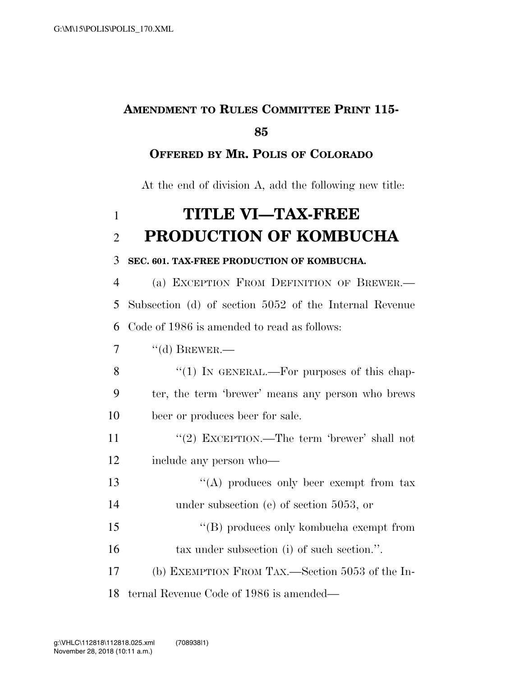## **AMENDMENT TO RULES COMMITTEE PRINT 115- 85**

### **OFFERED BY MR. POLIS OF COLORADO**

At the end of division A, add the following new title:

# 1 **TITLE VI—TAX-FREE**  2 **PRODUCTION OF KOMBUCHA**

#### 3 **SEC. 601. TAX-FREE PRODUCTION OF KOMBUCHA.**

4 (a) EXCEPTION FROM DEFINITION OF BREWER.— 5 Subsection (d) of section 5052 of the Internal Revenue 6 Code of 1986 is amended to read as follows:

 $7 \qquad \text{``(d)}$  BREWER.—

- 8 "(1) In GENERAL.—For purposes of this chap-9 ter, the term 'brewer' means any person who brews 10 beer or produces beer for sale.
- 11 ''(2) EXCEPTION.—The term 'brewer' shall not 12 include any person who—
- 13 ''(A) produces only beer exempt from tax 14 under subsection (e) of section 5053, or
- 15 ''(B) produces only kombucha exempt from 16 tax under subsection (i) of such section.".
- 17 (b) EXEMPTION FROM TAX.—Section 5053 of the In-
- 18 ternal Revenue Code of 1986 is amended—